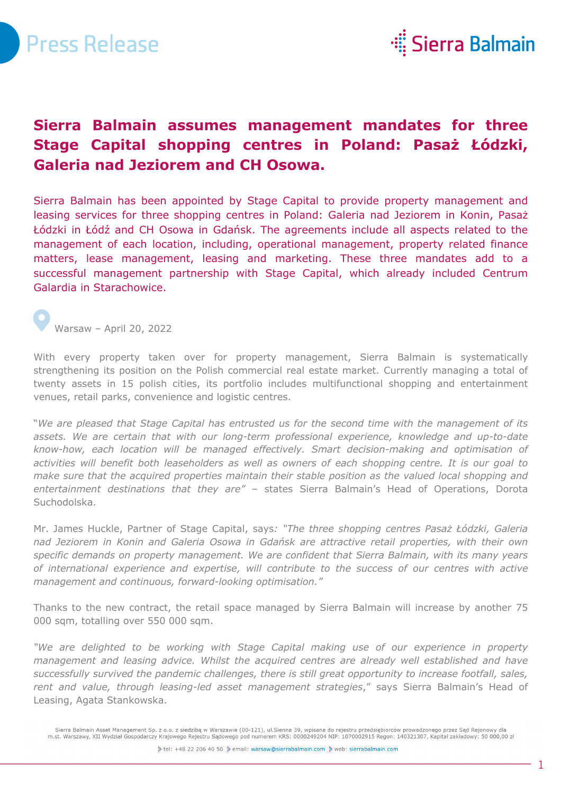



## **Sierra Balmain assumes management mandates for three Stage Capital shopping centres in Poland: Pasaż Łódzki, Galeria nad Jeziorem and CH Osowa.**

Sierra Balmain has been appointed by Stage Capital to provide property management and leasing services for three shopping centres in Poland: Galeria nad Jeziorem in Konin, Pasaż Łódzki in Łódź and CH Osowa in Gdańsk. The agreements include all aspects related to the management of each location, including, operational management, property related finance matters, lease management, leasing and marketing. These three mandates add to a successful management partnership with Stage Capital, which already included Centrum Galardia in Starachowice.

Warsaw – April 20, 2022

With every property taken over for property management, Sierra Balmain is systematically strengthening its position on the Polish commercial real estate market. Currently managing a total of twenty assets in 15 polish cities, its portfolio includes multifunctional shopping and entertainment venues, retail parks, convenience and logistic centres.

"*We are pleased that Stage Capital has entrusted us for the second time with the management of its assets. We are certain that with our long-term professional experience, knowledge and up-to-date know-how, each location will be managed effectively. Smart decision-making and optimisation of activities will benefit both leaseholders as well as owners of each shopping centre. It is our goal to make sure that the acquired properties maintain their stable position as the valued local shopping and entertainment destinations that they are" –* states Sierra Balmain's Head of Operations, Dorota Suchodolska.

Mr. James Huckle, Partner of Stage Capital, says*: "The three shopping centres Pasaż Łódzki, Galeria nad Jeziorem in Konin and Galeria Osowa in Gdańsk are attractive retail properties, with their own specific demands on property management. We are confident that Sierra Balmain, with its many years of international experience and expertise, will contribute to the success of our centres with active management and continuous, forward-looking optimisation."*

Thanks to the new contract, the retail space managed by Sierra Balmain will increase by another 75 000 sqm, totalling over 550 000 sqm.

*"We are delighted to be working with Stage Capital making use of our experience in property management and leasing advice. Whilst the acquired centres are already well established and have successfully survived the pandemic challenges, there is still great opportunity to increase footfall, sales, rent and value, through leasing-led asset management strategies*," says Sierra Balmain's Head of Leasing, Agata Stankowska.

Sierra Balmain Asset Management Sp. z o.o. z siedzibą w Warszawie (00-121), ul.Sienna 39, wpisana do rejestru przedsiębiorców prowadzonego przez Sąd Rejonowy dla<br>m.st. Warszawy, XII Wydział Gospodarczy Krajowego Rejestru S

iletel: +48 22 206 40 50 ile email: warsaw@sierrabalmain.com ile web: sierrabalmain.com